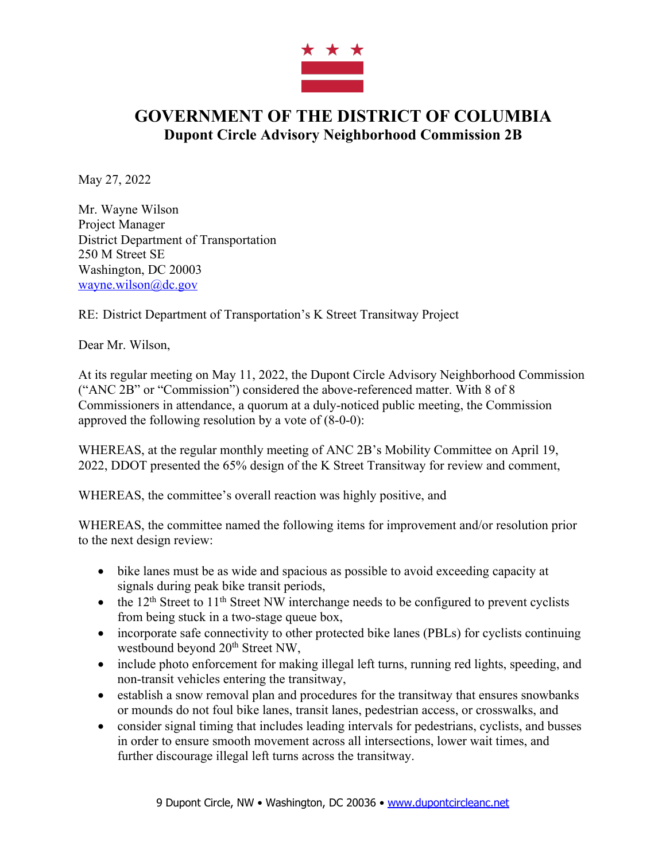

## **GOVERNMENT OF THE DISTRICT OF COLUMBIA Dupont Circle Advisory Neighborhood Commission 2B**

May 27, 2022

Mr. Wayne Wilson Project Manager District Department of Transportation 250 M Street SE Washington, DC 20003 wayne.wilson@dc.gov

RE: District Department of Transportation's K Street Transitway Project

Dear Mr. Wilson,

At its regular meeting on May 11, 2022, the Dupont Circle Advisory Neighborhood Commission ("ANC 2B" or "Commission") considered the above-referenced matter. With 8 of 8 Commissioners in attendance, a quorum at a duly-noticed public meeting, the Commission approved the following resolution by a vote of (8-0-0):

WHEREAS, at the regular monthly meeting of ANC 2B's Mobility Committee on April 19, 2022, DDOT presented the 65% design of the K Street Transitway for review and comment,

WHEREAS, the committee's overall reaction was highly positive, and

WHEREAS, the committee named the following items for improvement and/or resolution prior to the next design review:

- bike lanes must be as wide and spacious as possible to avoid exceeding capacity at signals during peak bike transit periods,
- the  $12<sup>th</sup>$  Street to  $11<sup>th</sup>$  Street NW interchange needs to be configured to prevent cyclists from being stuck in a two-stage queue box,
- incorporate safe connectivity to other protected bike lanes (PBLs) for cyclists continuing westbound beyond 20<sup>th</sup> Street NW,
- include photo enforcement for making illegal left turns, running red lights, speeding, and non-transit vehicles entering the transitway,
- establish a snow removal plan and procedures for the transitway that ensures snowbanks or mounds do not foul bike lanes, transit lanes, pedestrian access, or crosswalks, and
- consider signal timing that includes leading intervals for pedestrians, cyclists, and busses in order to ensure smooth movement across all intersections, lower wait times, and further discourage illegal left turns across the transitway.